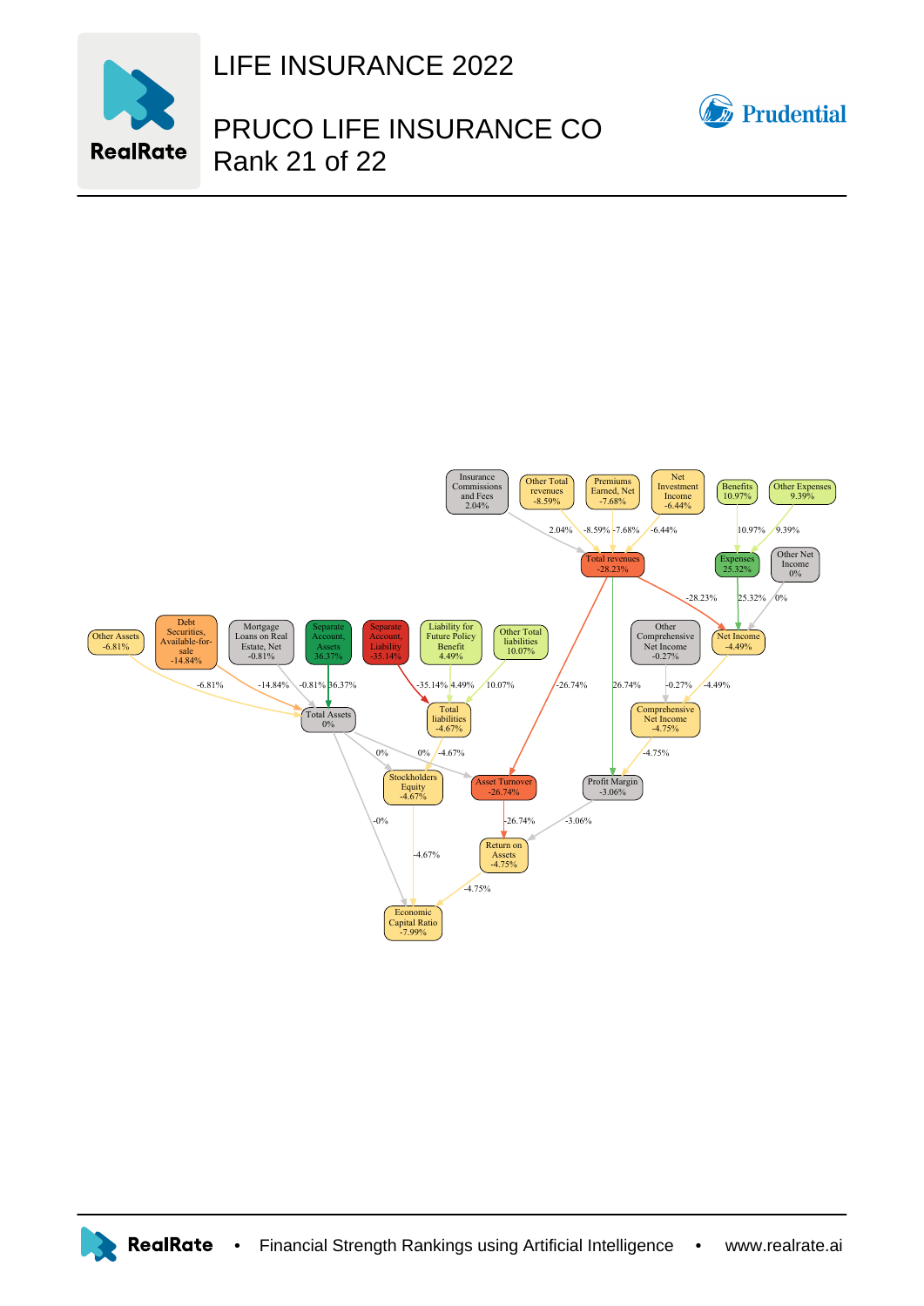